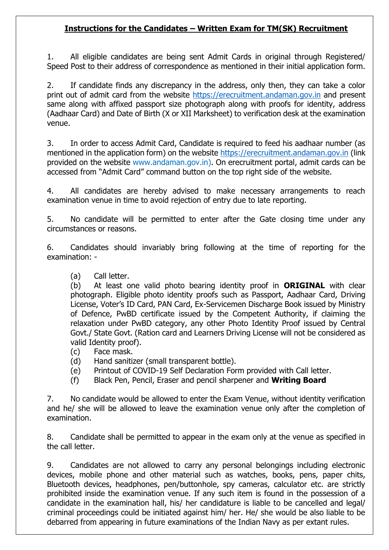## **Instructions for the Candidates – Written Exam for TM(SK) Recruitment**

1. All eligible candidates are being sent Admit Cards in original through Registered/ Speed Post to their address of correspondence as mentioned in their initial application form.

2. If candidate finds any discrepancy in the address, only then, they can take a color print out of admit card from the website [https://erecruitment.andaman.gov.in](https://erecruitment.andaman.gov.in/) and present same along with affixed passport size photograph along with proofs for identity, address (Aadhaar Card) and Date of Birth (X or XII Marksheet) to verification desk at the examination venue.

3. In order to access Admit Card, Candidate is required to feed his aadhaar number (as mentioned in the application form) on the website [https://erecruitment.andaman.gov.in](https://erecruitment.andaman.gov.in/) (link provided on the website www.andaman.gov.in). On erecruitment portal, admit cards can be accessed from "Admit Card" command button on the top right side of the website.

4. All candidates are hereby advised to make necessary arrangements to reach examination venue in time to avoid rejection of entry due to late reporting.

5. No candidate will be permitted to enter after the Gate closing time under any circumstances or reasons.

6. Candidates should invariably bring following at the time of reporting for the examination: -

(a) Call letter.

(b) At least one valid photo bearing identity proof in **ORIGINAL** with clear photograph. Eligible photo identity proofs such as Passport, Aadhaar Card, Driving License, Voter's ID Card, PAN Card, Ex-Servicemen Discharge Book issued by Ministry of Defence, PwBD certificate issued by the Competent Authority, if claiming the relaxation under PwBD category, any other Photo Identity Proof issued by Central Govt./ State Govt. (Ration card and Learners Driving License will not be considered as valid Identity proof).

- (c) Face mask.
- (d) Hand sanitizer (small transparent bottle).
- (e) Printout of COVID-19 Self Declaration Form provided with Call letter.
- (f) Black Pen, Pencil, Eraser and pencil sharpener and **Writing Board**

7. No candidate would be allowed to enter the Exam Venue, without identity verification and he/ she will be allowed to leave the examination venue only after the completion of examination.

8. Candidate shall be permitted to appear in the exam only at the venue as specified in the call letter.

9. Candidates are not allowed to carry any personal belongings including electronic devices, mobile phone and other material such as watches, books, pens, paper chits, Bluetooth devices, headphones, pen/buttonhole, spy cameras, calculator etc. are strictly prohibited inside the examination venue. If any such item is found in the possession of a candidate in the examination hall, his/ her candidature is liable to be cancelled and legal/ criminal proceedings could be initiated against him/ her. He/ she would be also liable to be debarred from appearing in future examinations of the Indian Navy as per extant rules.